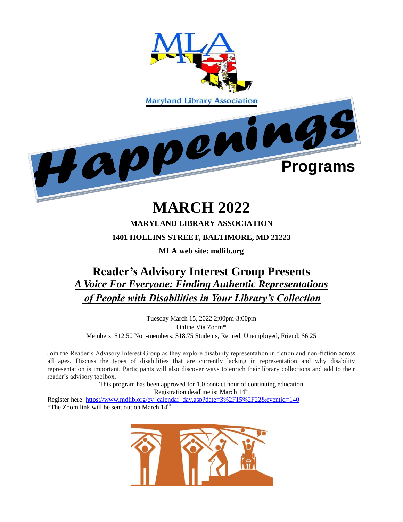

# **MARCH 2022**

#### **MARYLAND LIBRARY ASSOCIATION**

#### **1401 HOLLINS STREET, BALTIMORE, MD 21223**

**MLA web site: mdlib.org**

# **Reader's Advisory Interest Group Presents**  *A Voice For Everyone: Finding Authentic Representations of People with Disabilities in Your Library's Collection*

Tuesday March 15, 2022 2:00pm-3:00pm Online Via Zoom\* Members: \$12.50 Non-members: \$18.75 Students, Retired, Unemployed, Friend: \$6.25

Join the Reader's Advisory Interest Group as they explore disability representation in fiction and non-fiction across all ages. Discuss the types of disabilities that are currently lacking in representation and why disability representation is important. Participants will also discover ways to enrich their library collections and add to their reader's advisory toolbox.

This program has been approved for 1.0 contact hour of continuing education Registration deadline is: March  $14<sup>th</sup>$ 

Register here: [https://www.mdlib.org/ev\\_calendar\\_day.asp?date=3%2F15%2F22&eventid=140](https://www.mdlib.org/ev_calendar_day.asp?date=3%2F15%2F22&eventid=140) \*The Zoom link will be sent out on March 14th

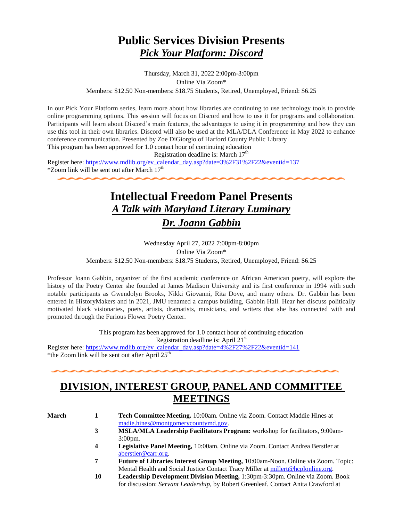# **Public Services Division Presents**  *Pick Your Platform: Discord*

Thursday, March 31, 2022 2:00pm-3:00pm Online Via Zoom\* Members: \$12.50 Non-members: \$18.75 Students, Retired, Unemployed, Friend: \$6.25

In our Pick Your Platform series, learn more about how libraries are continuing to use technology tools to provide online programming options. This session will focus on Discord and how to use it for programs and collaboration. Participants will learn about Discord's main features, the advantages to using it in programming and how they can use this tool in their own libraries. Discord will also be used at the MLA/DLA Conference in May 2022 to enhance conference communication. Presented by Zoe DiGiorgio of Harford County Public Library

This program has been approved for 1.0 contact hour of continuing education

Registration deadline is: March  $17<sup>th</sup>$ 

Register here: [https://www.mdlib.org/ev\\_calendar\\_day.asp?date=3%2F31%2F22&eventid=137](https://www.mdlib.org/ev_calendar_day.asp?date=3%2F31%2F22&eventid=137)  $*$ Zoom link will be sent out after March  $17<sup>th</sup>$ 

# **Intellectual Freedom Panel Presents**  *A Talk with Maryland Literary Luminary Dr. Joann Gabbin*

Wednesday April 27, 2022 7:00pm-8:00pm Online Via Zoom\* Members: \$12.50 Non-members: \$18.75 Students, Retired, Unemployed, Friend: \$6.25

Professor Joann Gabbin, organizer of the first academic conference on African American poetry, will explore the history of the Poetry Center she founded at James Madison University and its first conference in 1994 with such notable participants as Gwendolyn Brooks, Nikki Giovanni, Rita Dove, and many others. Dr. Gabbin has been entered in HistoryMakers and in 2021, JMU renamed a campus building, Gabbin Hall. Hear her discuss politically motivated black visionaries, poets, artists, dramatists, musicians, and writers that she has connected with and promoted through the Furious Flower Poetry Center.

> This program has been approved for 1.0 contact hour of continuing education Registration deadline is: April 21<sup>st</sup>

Register here: [https://www.mdlib.org/ev\\_calendar\\_day.asp?date=4%2F27%2F22&eventid=141](https://www.mdlib.org/ev_calendar_day.asp?date=4%2F27%2F22&eventid=141) \*the Zoom link will be sent out after April  $25<sup>th</sup>$ 

### **DIVISION, INTEREST GROUP, PANEL AND COMMITTEE MEETINGS**

- **March 1 Tech Committee Meeting.** 10:00am. Online via Zoom. Contact Maddie Hines at [madie.hines@montgomerycountymd.gov.](mailto:madie.hines@montgomerycountymd.gov)
	- **3 MSLA/MLA Leadership Facilitators Program:** workshop for facilitators, 9:00am-3:00pm.
	- **4 Legislative Panel Meeting,** 10:00am. Online via Zoom. Contact Andrea Berstler at [aberstler@carr.org.](mailto:aberstler@carr.org)
	- **7 Future of Libraries Interest Group Meeting,** 10:00am-Noon. Online via Zoom. Topic: Mental Health and Social Justice Contact Tracy Miller at [millert@hcplonline.org.](mailto:millert@hcplonline.org)
	- **10 Leadership Development Division Meeting,** 1:30pm-3:30pm. Online via Zoom. Book for discussion: *Servant Leadership,* by Robert Greenleaf. Contact Anita Crawford at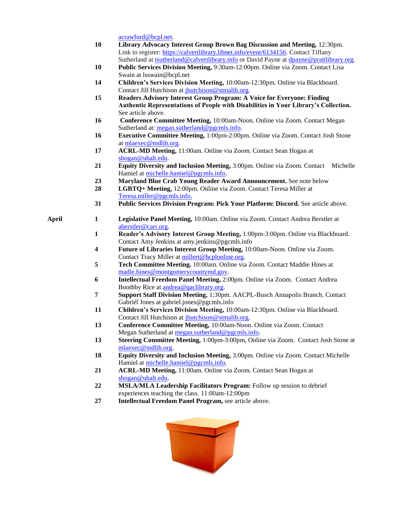[acrawford@bcpl.net.](mailto:acrawford@bcpl.net)

- **10 Library Advocacy Interest Group Brown Bag Discussion and Meeting,** 12:30pm. Link to register: [https://calvertlibrary.libnet.info/event/6134156.](https://nam11.safelinks.protection.outlook.com/?url=https%3A%2F%2Fcalvertlibrary.libnet.info%2Fevent%2F6134156&data=04%7C01%7Ckmonagan%40mdlib.org%7C39919a863f4f4a221eb108d9f7a7bc93%7Cabfaca4f2f8440c29a45bd09ad83fe89%7C0%7C1%7C637813122072302530%7CUnknown%7CTWFpbGZsb3d8eyJWIjoiMC4wLjAwMDAiLCJQIjoiV2luMzIiLCJBTiI6Ik1haWwiLCJXVCI6Mn0%3D%7C3000&sdata=4Hf44op7W72tTu1yJUGxF%2FAN7ZkRbsbHkHTtxJ%2F8IyA%3D&reserved=0) Contact Tiffany Sutherland at [tsutherland@calvertlibrary.info](mailto:tsutherland@calvertlibrary.info) or David Payne at dpayne@prattlibrary.org.
- **10 Public Services Division Meeting,** 9:30am-12:00pm. Online via Zoom. Contact Lisa Swain at lsswain@bcpl.net
- **14 Children's Services Division Meeting,** 10:00am-12:30pm. Online via Blackboard. Contact Jill Hutchison at [jhutchison@stmalib.org.](mailto:jhutchison@stmalib.org)
- **15 Readers Advisory Interest Group Program: A Voice for Everyone: Finding Authentic Representations of People with Disabilities in Your Library's Collection.**  See article above.
- **16 Conference Committee Meeting,** 10:00am-Noon. Online via Zoom. Contact Megan Sutherland at: [megan.sutherland@pgcmls.info.](mailto:megan.sutherland@pgcmls.info)
- **16 Executive Committee Meeting,** 1:00pm-2:00pm. Online via Zoom. Contact Josh Stone a[t mlaexec@mdlib.org.](mailto:mlaexec@mdlib.org)
- **17 ACRL-MD Meeting,** 11:00am. Online via Zoom. Contact Sean Hogan at [shogan@ubalt.edu.](mailto:shogan@ubalt.edu)
- **21 Equity Diversity and Inclusion Meeting,** 3:00pm. Online via Zoom. Contact Michelle Hamiel at [michelle.hamiel@pgcmls.info.](mailto:michelle.hamiel@pgcmls.info)
- **23 Maryland Blue Crab Young Reader Award Announcement.** See note below
- **28 LGBTQ+ Meeting,** 12:00pm. Online via Zoom. Contact Teresa Miller at [Teresa.miller@pgcmls.info.](mailto:Teresa.miller@pgcmls.info)
- **31 Public Services Division Program: Pick Your Platform: Discord.** See article above.
- **April 1 Legislative Panel Meeting,** 10:00am. Online via Zoom. Contact Andrea Berstler at [aberstler@carr.org.](mailto:aberstler@carr.org)
	- **1 Reader's Advisory Interest Group Meeting,** 1:00pm-3:00pm. Online via Blackboard. Contact Amy Jenkins at amy.jenkins@pgcmls.info
	- **4 Future of Libraries Interest Group Meeting,** 10:00am-Noon. Online via Zoom. Contact Tracy Miller a[t millert@hcplonline.org.](mailto:millert@hcplonline.org)
	- **5 Tech Committee Meeting.** 10:00am. Online via Zoom. Contact Maddie Hines at [madie.hines@montgomerycountymd.gov.](mailto:madie.hines@montgomerycountymd.gov)
	- **6 Intellectual Freedom Panel Meeting,** 2:00pm. Online via Zoom. Contact Andrea Boothby Rice at [andrea@qaclibrary.org.](mailto:andrea@qaclibrary.org)
	- **7 Support Staff Division Meeting,** 1:30pm. AACPL-Busch Annapolis Branch. Contact Gabriél Jones at gabriel.jones@pgcmls.info
	- **11 Children's Services Division Meeting,** 10:00am-12:30pm. Online via Blackboard. Contact Jill Hutchison at [jhutchison@stmalib.org.](mailto:jhutchison@stmalib.org)
	- **13 Conference Committee Meeting,** 10:00am-Noon. Online via Zoom. Contact Megan Sutherland at [megan.sutherland@pgcmls.info.](mailto:megan.sutherland@pgcmls.info)
	- **13 Steering Committee Meeting,** 1:00pm-3:00pm, Online via Zoom. Contact Josh Stone at [mlaexec@mdlib.org.](mailto:mlaexec@mdlib.org)
	- **18 Equity Diversity and Inclusion Meeting,** 3:00pm. Online via Zoom. Contact Michelle Hamiel at [michelle.hamiel@pgcmls.info.](mailto:michelle.hamiel@pgcmls.info)
	- **21 ACRL-MD Meeting,** 11:00am. Online via Zoom. Contact Sean Hogan at [shogan@ubalt.edu.](mailto:shogan@ubalt.edu)
	- **22 MSLA/MLA Leadership Facilitators Program:** Follow up session to debrief experiences teaching the class. 11:00am-12:00pm
	- **27 Intellectual Freedom Panel Program,** see article above.

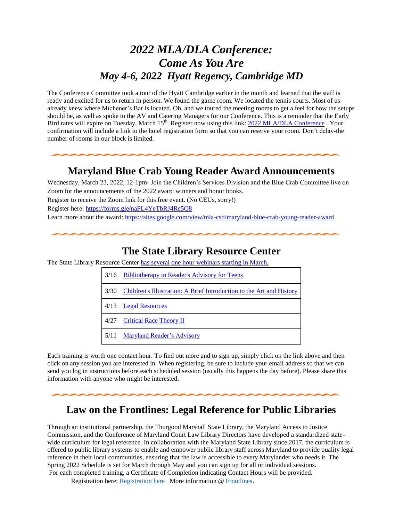# *2022 MLA/DLA Conference: Come As You Are May 4-6, 2022 Hyatt Regency, Cambridge MD*

The Conference Committee took a tour of the Hyatt Cambridge earlier in the month and learned that the staff is ready and excited for us to return in person. We found the game room. We located the tennis courts. Most of us already knew where Michener's Bar is located. Oh, and we toured the meeting rooms to get a feel for how the setups should be, as well as spoke to the AV and Catering Managers for our Conference. This is a reminder that the Early Bird rates will expire on Tuesday, March 15<sup>th</sup>. Register now using this link: [2022 MLA/DLA Conference](https://www.mdlib.org/ev_calendar_day.asp?date=5%2F4%2F22&eventid=138) . Your confirmation will include a link to the hotel registration form so that you can reserve your room. Don't delay-the number of rooms in our block is limited.

#### **Maryland Blue Crab Young Reader Award Announcements**

Wednesday, March 23, 2022, 12-1pm- Join the Children's Services Division and the Blue Crab Committee live on Zoom for the announcements of the 2022 award winners and honor books. Register to receive the Zoom link for this free event. (No CEUs, sorry!) Register here: [https://forms.gle/naPL4YeTbRJ4Rc5Q8](https://nam11.safelinks.protection.outlook.com/?url=https%3A%2F%2Fforms.gle%2FnaPL4YeTbRJ4Rc5Q8&data=04%7C01%7Ckmonagan%40mdlib.org%7Cc26a631095d54075310d08d9f09bd777%7Cabfaca4f2f8440c29a45bd09ad83fe89%7C0%7C1%7C637805374402934126%7CUnknown%7CTWFpbGZsb3d8eyJWIjoiMC4wLjAwMDAiLCJQIjoiV2luMzIiLCJBTiI6Ik1haWwiLCJXVCI6Mn0%3D%7C1000&sdata=ob1UERKNYe6Ua9w%2BugLpqli%2FbBtG2lNbs0xFSnVJmRU%3D&reserved=0) Learn more about the award: [https://sites.google.com/view/mla-csd/maryland-blue-crab-young-reader-award](https://nam11.safelinks.protection.outlook.com/?url=https%3A%2F%2Fsites.google.com%2Fview%2Fmla-csd%2Fmaryland-blue-crab-young-reader-award&data=04%7C01%7Ckmonagan%40mdlib.org%7Cc26a631095d54075310d08d9f09bd777%7Cabfaca4f2f8440c29a45bd09ad83fe89%7C0%7C1%7C637805374402934126%7CUnknown%7CTWFpbGZsb3d8eyJWIjoiMC4wLjAwMDAiLCJQIjoiV2luMzIiLCJBTiI6Ik1haWwiLCJXVCI6Mn0%3D%7C1000&sdata=scQNVK3hBmVXflkViAsUX7Z71wSJHNXkQljxY5zgIOQ%3D&reserved=0)

#### **The State Library Resource Center**

The State Library Resource Center [has several one hour](https://nam11.safelinks.protection.outlook.com/?url=https%3A%2F%2Fwww.slrc.info%2Fdevelopment%2Fwebinars%2F&data=04%7C01%7Ckmonagan%40mdlib.org%7C346fbca5045e4765310308d9d7a028f2%7Cabfaca4f2f8440c29a45bd09ad83fe89%7C0%7C1%7C637777905181505158%7CUnknown%7CTWFpbGZsb3d8eyJWIjoiMC4wLjAwMDAiLCJQIjoiV2luMzIiLCJBTiI6Ik1haWwiLCJXVCI6Mn0%3D%7C3000&sdata=2Ku014fbEfCu6320Dtt1lAQ5lMbR%2F6glj%2BQXUgqpF68%3D&reserved=0) webinars starting in March.

| 3/16 | <b>Bibliotherapy in Reader's Advisory for Teens</b>                  |
|------|----------------------------------------------------------------------|
| 3/30 | Children's Illustration: A Brief Introduction to the Art and History |
| 4/13 | <b>Legal Resources</b>                                               |
| 4/27 | <b>Critical Race Theory II</b>                                       |
| 5/11 | <b>Maryland Reader's Advisory</b>                                    |

Each training is worth one contact hour. To find out more and to sign up, simply click on the link above and then click on any session you are interested in. When registering, be sure to include your email address so that we can send you log in instructions before each scheduled session (usually this happens the day before). Please share this information with anyone who might be interested.

#### **Law on the Frontlines: Legal Reference for Public Libraries**

Through an institutional partnership, the Thurgood Marshall State Library, the Maryland Access to Justice Commission, and the Conference of Maryland Court Law Library Directors have developed a standardized statewide curriculum for legal reference. In collaboration with the Maryland State Library since 2017, the curriculum is offered to public library systems to enable and empower public library staff across Maryland to provide quality legal reference in their local communities, ensuring that the law is accessible to every Marylander who needs it. The Spring 2022 Schedule is set for March through May and you can sign up for all or individual sessions. For each completed training, a Certificate of Completion indicating Contact Hours will be provided.

Registration here: [Registration here](https://nam11.safelinks.protection.outlook.com/?url=https%3A%2F%2Fmdcourts.gov%2Fsites%2Fdefault%2Ffiles%2Fimport%2Flawlib%2F2022%2520Flyer%2520rev0217a2jc.pdf&data=04%7C01%7Ckmonagan%40mdlib.org%7C7f08012d3ce4444a26ba08d9f623ee0a%7Cabfaca4f2f8440c29a45bd09ad83fe89%7C0%7C1%7C637811456461772537%7CUnknown%7CTWFpbGZsb3d8eyJWIjoiMC4wLjAwMDAiLCJQIjoiV2luMzIiLCJBTiI6Ik1haWwiLCJXVCI6Mn0%3D%7C3000&sdata=r%2BIZb1lGBecF8K1c5Q32ZrQA7hwdmuUFN8f61rQ8THo%3D&reserved=0) More information @ [Frontlines](https://nam11.safelinks.protection.outlook.com/?url=https%3A%2F%2Fmdcourts.gov%2Flawlib%2Fusing-library%2Ffor-librarians%2Flegal-reference-training&data=04%7C01%7Ckmonagan%40mdlib.org%7C7f08012d3ce4444a26ba08d9f623ee0a%7Cabfaca4f2f8440c29a45bd09ad83fe89%7C0%7C1%7C637811456461772537%7CUnknown%7CTWFpbGZsb3d8eyJWIjoiMC4wLjAwMDAiLCJQIjoiV2luMzIiLCJBTiI6Ik1haWwiLCJXVCI6Mn0%3D%7C3000&sdata=y2OrWDlqUst9RVg2xWEzaQo2S7EQp6qB2RFaNPdL9Ac%3D&reserved=0).